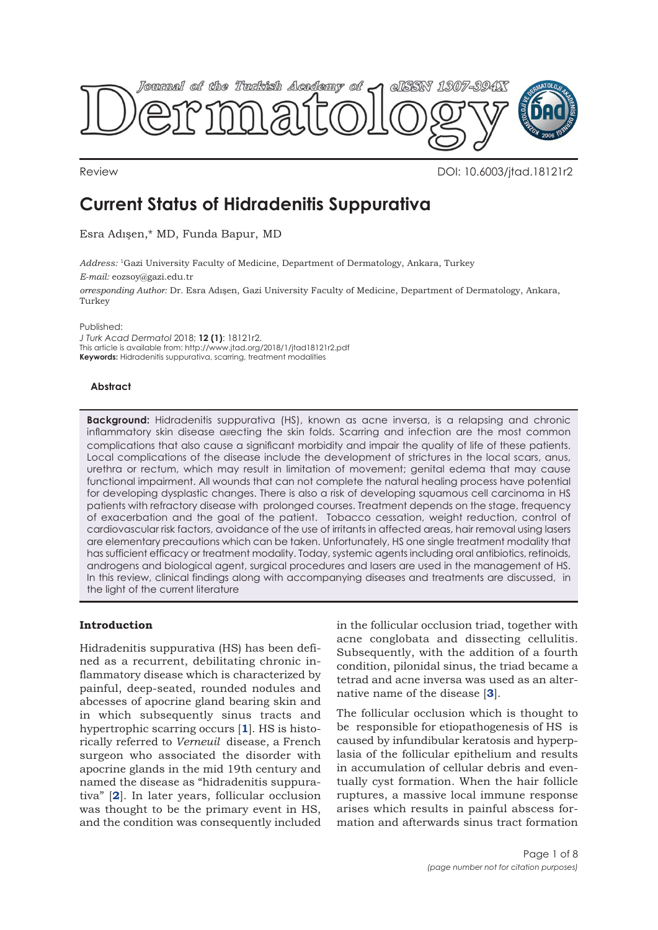

Review DOI: 10.6003/jtad.18121r2

# **Current Status of Hidradenitis Suppurativa**

Esra Adışen,\* MD, Funda Bapur, MD

*Address:* 1Gazi University Faculty of Medicine, Department of Dermatology, Ankara, Turkey *E-mail:* eozsoy@gazi.edu.tr

*orresponding Author:* Dr. Esra Adışen, Gazi University Faculty of Medicine, Department of Dermatology, Ankara, **Turkey** 

Published:

*J Turk Acad Dermatol* 2018; **12 (1)**: 18121r2. This article is available from: http://www.jtad.org/2018/1/jtad18121r2.pdf **Keywords:** Hidradenitis suppurativa, scarring, treatment modalities

## **Abstract**

**Background:** Hidradenitis suppurativa (HS), known as acne inversa, is a relapsing and chronic inflammatory skin disease affecting the skin folds. Scarring and infection are the most common complications that also cause a significant morbidity and impair the quality of life of these patients. Local complications of the disease include the development of strictures in the local scars, anus, urethra or rectum, which may result in limitation of movement; genital edema that may cause functional impairment. All wounds that can not complete the natural healing process have potential for developing dysplastic changes. There is also a risk of developing squamous cell carcinoma in HS patients with refractory disease with prolonged courses. Treatment depends on the stage, frequency of exacerbation and the goal of the patient. Tobacco cessation, weight reduction, control of cardiovascular risk factors, avoidance of the use of irritants in affected areas, hair removal using lasers are elementary precautions which can be taken. Unfortunately, HS one single treatment modality that has sufficient efficacy or treatment modality. Today, systemic agents including oral antibiotics, retinoids, androgens and biological agent, surgical procedures and lasers are used in the management of HS. In this review, clinical findings along with accompanying diseases and treatments are discussed, in the light of the current literature

# **Introduction**

Hidradenitis suppurativa (HS) has been defined as a recurrent, debilitating chronic inflammatory disease which is characterized by painful, deep-seated, rounded nodules and abcesses of apocrine gland bearing skin and in which subsequently sinus tracts and hypertrophic scarring occurs [**[1](#page-5-0)**]. HS is historically referred to *Verneuil* disease, a French surgeon who associated the disorder with apocrine glands in the mid 19th century and named the disease as "hidradenitis suppurativa" [**[2](#page-5-0)**]. In later years, follicular occlusion was thought to be the primary event in HS, and the condition was consequently included in the follicular occlusion triad, together with acne conglobata and dissecting cellulitis. Subsequently, with the addition of a fourth condition, pilonidal sinus, the triad became a tetrad and acne inversa was used as an alternative name of the disease [**[3](#page-5-0)**].

The follicular occlusion which is thought to be responsible for etiopathogenesis of HS is caused by infundibular keratosis and hyperplasia of the follicular epithelium and results in accumulation of cellular debris and eventually cyst formation. When the hair follicle ruptures, a massive local immune response arises which results in painful abscess formation and afterwards sinus tract formation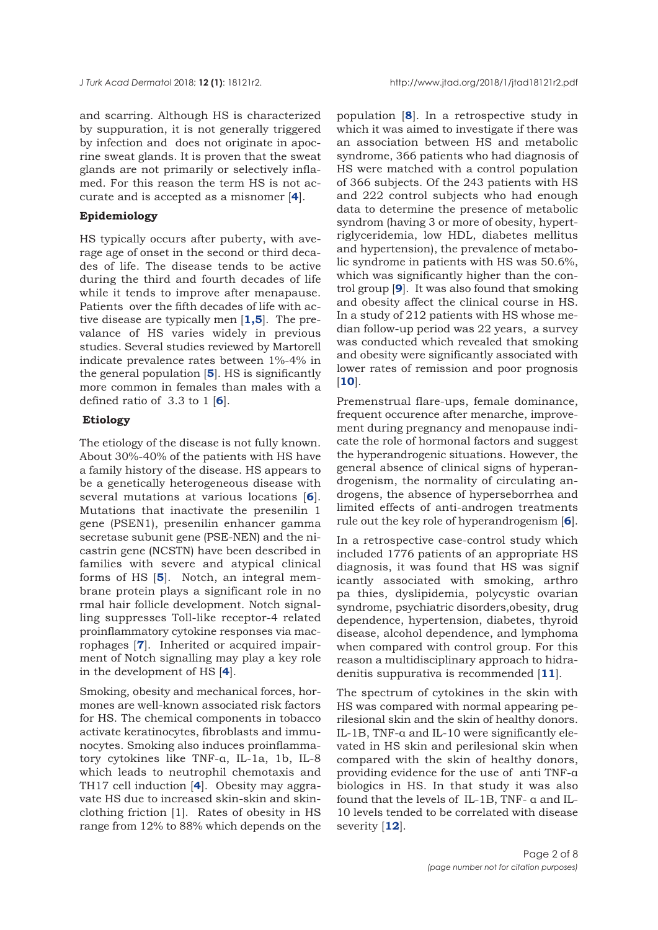and scarring. Although HS is characterized by suppuration, it is not generally triggered by infection and does not originate in apocrine sweat glands. It is proven that the sweat glands are not primarily or selectively inflamed. For this reason the term HS is not accurate and is accepted as a misnomer [**[4](#page-6-0)**].

# **Epidemiology**

HS typically occurs after puberty, with average age of onset in the second or third decades of life. The disease tends to be active during the third and fourth decades of life while it tends to improve after menapause. Patients over the fifth decades of life with active disease are typically men [**[1](#page-5-0),[5](#page-6-0)**]. The prevalance of HS varies widely in previous studies. Several studies reviewed by Martorell indicate prevalence rates between 1%-4% in the general population [**[5](#page-6-0)**]. HS is significantly more common in females than males with a defined ratio of 3.3 to 1 [**[6](#page-6-0)**].

#### **Etiology**

The etiology of the disease is not fully known. About 30%-40% of the patients with HS have a family history of the disease. HS appears to be a genetically heterogeneous disease with several mutations at various locations [**[6](#page-6-0)**]. Mutations that inactivate the presenilin 1 gene (PSEN1), presenilin enhancer gamma secretase subunit gene (PSE-NEN) and the nicastrin gene (NCSTN) have been described in families with severe and atypical clinical forms of HS [**[5](#page-6-0)**]. Notch, an integral membrane protein plays a significant role in no rmal hair follicle development. Notch signalling suppresses Toll-like receptor-4 related proinflammatory cytokine responses via macrophages [**[7](#page-6-0)**]. Inherited or acquired impairment of Notch signalling may play a key role in the development of HS [**[4](#page-6-0)**].

Smoking, obesity and mechanical forces, hormones are well-known associated risk factors for HS. The chemical components in tobacco activate keratinocytes, fibroblasts and immunocytes. Smoking also induces proinflammatory cytokines like TNF-α, IL-1a, 1b, IL-8 which leads to neutrophil chemotaxis and TH17 cell induction [**[4](#page-6-0)**]. Obesity may aggravate HS due to increased skin-skin and skinclothing friction [1]. Rates of obesity in HS range from 12% to 88% which depends on the

population [**[8](#page-6-0)**]. In a retrospective study in which it was aimed to investigate if there was an association between HS and metabolic syndrome, 366 patients who had diagnosis of HS were matched with a control population of 366 subjects. Of the 243 patients with HS and 222 control subjects who had enough data to determine the presence of metabolic syndrom (having 3 or more of obesity, hypertriglyceridemia, low HDL, diabetes mellitus and hypertension), the prevalence of metabolic syndrome in patients with HS was 50.6%, which was significantly higher than the control group [**[9](#page-6-0)**]. It was also found that smoking and obesity affect the clinical course in HS. In a study of 212 patients with HS whose median follow-up period was 22 years, a survey was conducted which revealed that smoking and obesity were significantly associated with lower rates of remission and poor prognosis [**[10](#page-6-0)**].

Premenstrual flare-ups, female dominance, frequent occurence after menarche, improvement during pregnancy and menopause indicate the role of hormonal factors and suggest the hyperandrogenic situations. However, the general absence of clinical signs of hyperandrogenism, the normality of circulating androgens, the absence of hyperseborrhea and limited effects of anti-androgen treatments rule out the key role of hyperandrogenism [**[6](#page-6-0)**].

In a retrospective case-control study which included 1776 patients of an appropriate HS diagnosis, it was found that HS was signif icantly associated with smoking, arthro pa thies, dyslipidemia, polycystic ovarian syndrome, psychiatric disorders,obesity, drug dependence, hypertension, diabetes, thyroid disease, alcohol dependence, and lymphoma when compared with control group. For this reason a multidisciplinary approach to hidradenitis suppurativa is recommended [**[11](#page-6-0)**].

The spectrum of cytokines in the skin with HS was compared with normal appearing perilesional skin and the skin of healthy donors. IL-1B, TNF-α and IL-10 were significantly elevated in HS skin and perilesional skin when compared with the skin of healthy donors, providing evidence for the use of anti TNF-α biologics in HS. In that study it was also found that the levels of IL-1B, TNF- α and IL-10 levels tended to be correlated with disease severity [**[12](#page-6-0)**].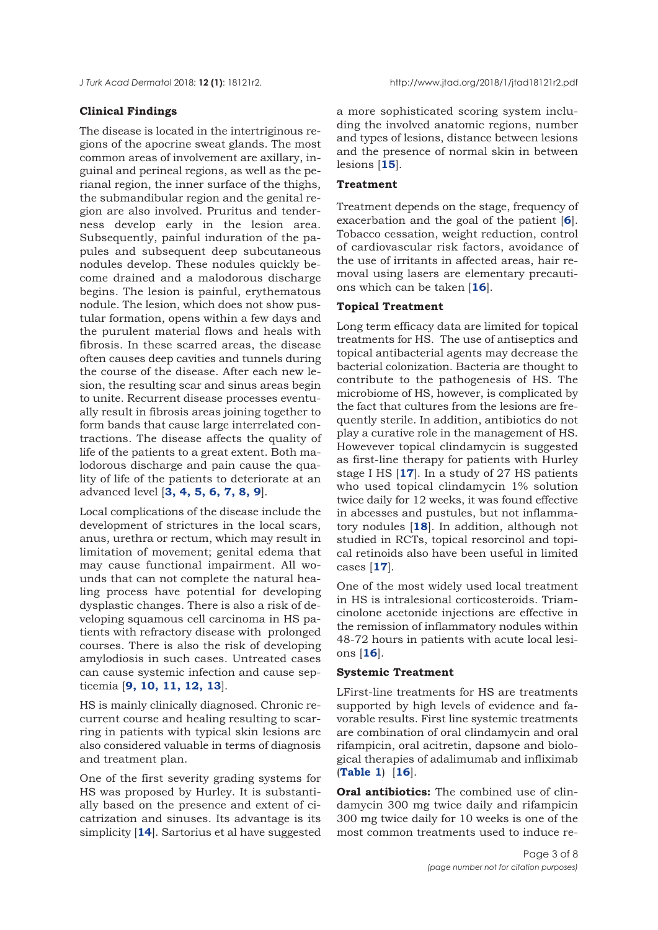#### **Clinical Findings**

The disease is located in the intertriginous regions of the apocrine sweat glands. The most common areas of involvement are axillary, inguinal and perineal regions, as well as the perianal region, the inner surface of the thighs, the submandibular region and the genital region are also involved. Pruritus and tenderness develop early in the lesion area. Subsequently, painful induration of the papules and subsequent deep subcutaneous nodules develop. These nodules quickly become drained and a malodorous discharge begins. The lesion is painful, erythematous nodule. The lesion, which does not show pustular formation, opens within a few days and the purulent material flows and heals with fibrosis. In these scarred areas, the disease often causes deep cavities and tunnels during the course of the disease. After each new lesion, the resulting scar and sinus areas begin to unite. Recurrent disease processes eventually result in fibrosis areas joining together to form bands that cause large interrelated contractions. The disease affects the quality of life of the patients to a great extent. Both malodorous discharge and pain cause the quality of life of the patients to deteriorate at an advanced level [**[3,](#page-6-0) [4](#page-6-0), [5, 6,](#page-6-0) [7](#page-6-0), [8,](#page-6-0) [9](#page-6-0)**].

Local complications of the disease include the development of strictures in the local scars, anus, urethra or rectum, which may result in limitation of movement; genital edema that may cause functional impairment. All wounds that can not complete the natural healing process have potential for developing dysplastic changes. There is also a risk of developing squamous cell carcinoma in HS patients with refractory disease with prolonged courses. There is also the risk of developing amylodiosis in such cases. Untreated cases can cause systemic infection and cause septicemia [**[9](#page-6-0), [10](#page-6-0), [11](#page-6-0), [12](#page-6-0), [13](#page-6-0)**].

HS is mainly clinically diagnosed. Chronic recurrent course and healing resulting to scarring in patients with typical skin lesions are also considered valuable in terms of diagnosis and treatment plan.

One of the first severity grading systems for HS was proposed by Hurley. It is substantially based on the presence and extent of cicatrization and sinuses. Its advantage is its simplicity [**[14](#page-6-0)**]. Sartorius et al have suggested

a more sophisticated scoring system including the involved anatomic regions, number and types of lesions, distance between lesions and the presence of normal skin in between lesions [**[15](#page-6-0)**].

## **Treatment**

Treatment depends on the stage, frequency of exacerbation and the goal of the patient [**[6](#page-6-0)**]. Tobacco cessation, weight reduction, control of cardiovascular risk factors, avoidance of the use of irritants in affected areas, hair removal using lasers are elementary precautions which can be taken [**[16](#page-6-0)**].

# **Topical Treatment**

Long term efficacy data are limited for topical treatments for HS. The use of antiseptics and topical antibacterial agents may decrease the bacterial colonization. Bacteria are thought to contribute to the pathogenesis of HS. The microbiome of HS, however, is complicated by the fact that cultures from the lesions are frequently sterile. In addition, antibiotics do not play a curative role in the management of HS. Howevever topical clindamycin is suggested as first-line therapy for patients with Hurley stage I HS [**[17](#page-6-0)**]. In a study of 27 HS patients who used topical clindamycin 1% solution twice daily for 12 weeks, it was found effective in abcesses and pustules, but not inflammatory nodules [**[18](#page-6-0)**]. In addition, although not studied in RCTs, topical resorcinol and topical retinoids also have been useful in limited cases [**[17](#page-6-0)**].

One of the most widely used local treatment in HS is intralesional corticosteroids. Triamcinolone acetonide injections are effective in the remission of inflammatory nodules within 48-72 hours in patients with acute local lesions [**[16](#page-6-0)**].

## **Systemic Treatment**

LFirst-line treatments for HS are treatments supported by high levels of evidence and favorable results. First line systemic treatments are combination of oral clindamycin and oral rifampicin, oral acitretin, dapsone and biological therapies of adalimumab and infliximab (**[Table 1](#page-3-0)**) [**[16](#page-6-0)**].

**Oral antibiotics:** The combined use of clindamycin 300 mg twice daily and rifampicin 300 mg twice daily for 10 weeks is one of the most common treatments used to induce re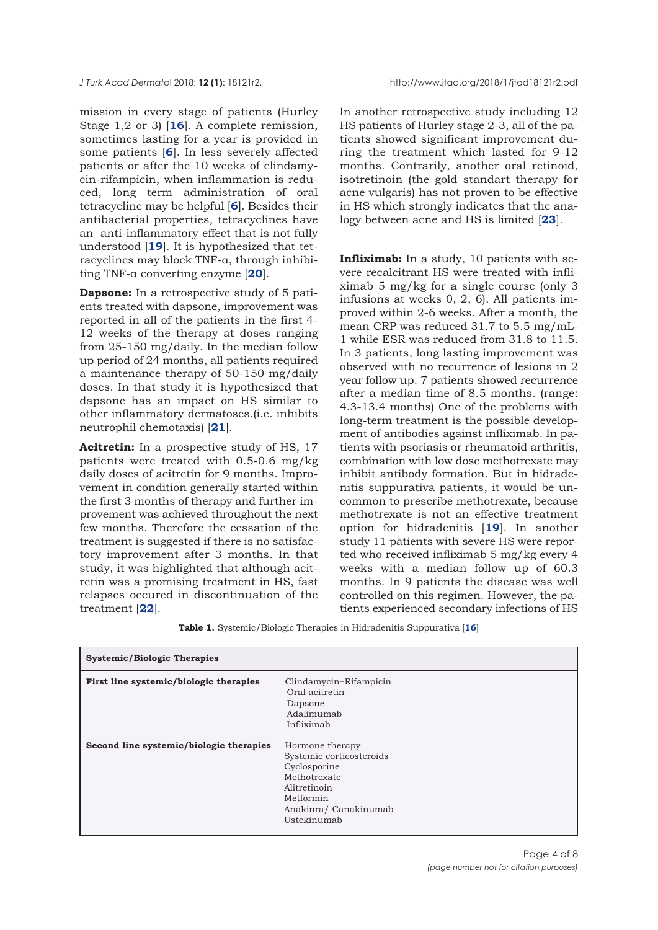<span id="page-3-0"></span>mission in every stage of patients (Hurley Stage 1,2 or 3) [**[16](#page-6-0)**]. A complete remission, sometimes lasting for a year is provided in some patients [**[6](#page-6-0)**]. In less severely affected patients or after the 10 weeks of clindamycin-rifampicin, when inflammation is reduced, long term administration of oral tetracycline may be helpful [**[6](#page-6-0)**]. Besides their antibacterial properties, tetracyclines have an anti-inflammatory effect that is not fully understood [**[19](#page-6-0)**]. It is hypothesized that tetracyclines may block TNF-α, through inhibiting TNF-α converting enzyme [**[20](#page-6-0)**].

**Dapsone:** In a retrospective study of 5 patients treated with dapsone, improvement was reported in all of the patients in the first 4- 12 weeks of the therapy at doses ranging from 25-150 mg/daily. In the median follow up period of 24 months, all patients required a maintenance therapy of 50-150 mg/daily doses. In that study it is hypothesized that dapsone has an impact on HS similar to other inflammatory dermatoses.(i.e. inhibits neutrophil chemotaxis) [**[21](#page-6-0)**].

**Acitretin:** In a prospective study of HS, 17 patients were treated with 0.5-0.6 mg/kg daily doses of acitretin for 9 months. Improvement in condition generally started within the first 3 months of therapy and further improvement was achieved throughout the next few months. Therefore the cessation of the treatment is suggested if there is no satisfactory improvement after 3 months. In that study, it was highlighted that although acitretin was a promising treatment in HS, fast relapses occured in discontinuation of the treatment [**[22](#page-6-0)**].

In another retrospective study including 12 HS patients of Hurley stage 2-3, all of the patients showed significant improvement during the treatment which lasted for 9-12 months. Contrarily, another oral retinoid, isotretinoin (the gold standart therapy for acne vulgaris) has not proven to be effective in HS which strongly indicates that the analogy between acne and HS is limited [**[23](#page-6-0)**].

**Infliximab:** In a study, 10 patients with severe recalcitrant HS were treated with infliximab 5 mg/kg for a single course (only 3 infusions at weeks 0, 2, 6). All patients improved within 2-6 weeks. After a month, the mean CRP was reduced 31.7 to 5.5 mg/mL-1 while ESR was reduced from 31.8 to 11.5. In 3 patients, long lasting improvement was observed with no recurrence of lesions in 2 year follow up. 7 patients showed recurrence after a median time of 8.5 months. (range: 4.3-13.4 months) One of the problems with long-term treatment is the possible development of antibodies against infliximab. In patients with psoriasis or rheumatoid arthritis, combination with low dose methotrexate may inhibit antibody formation. But in hidradenitis suppurativa patients, it would be uncommon to prescribe methotrexate, because methotrexate is not an effective treatment option for hidradenitis [**[19](#page-6-0)**]. In another study 11 patients with severe HS were reported who received infliximab 5 mg/kg every 4 weeks with a median follow up of 60.3 months. In 9 patients the disease was well controlled on this regimen. However, the patients experienced secondary infections of HS

**Table 1.** Systemic/Biologic Therapies in Hidradenitis Suppurativa [**16**]

| <b>Systemic/Biologic Therapies</b>      |                                                                                                                                                  |
|-----------------------------------------|--------------------------------------------------------------------------------------------------------------------------------------------------|
| First line systemic/biologic therapies  | Clindamycin+Rifampicin<br>Oral acitretin<br>Dapsone<br>Adalimumab<br>Infliximab                                                                  |
| Second line systemic/biologic therapies | Hormone therapy<br>Systemic corticosteroids<br>Cyclosporine<br>Methotrexate<br>Alitretinoin<br>Metformin<br>Anakinra/ Canakinumab<br>Ustekinumab |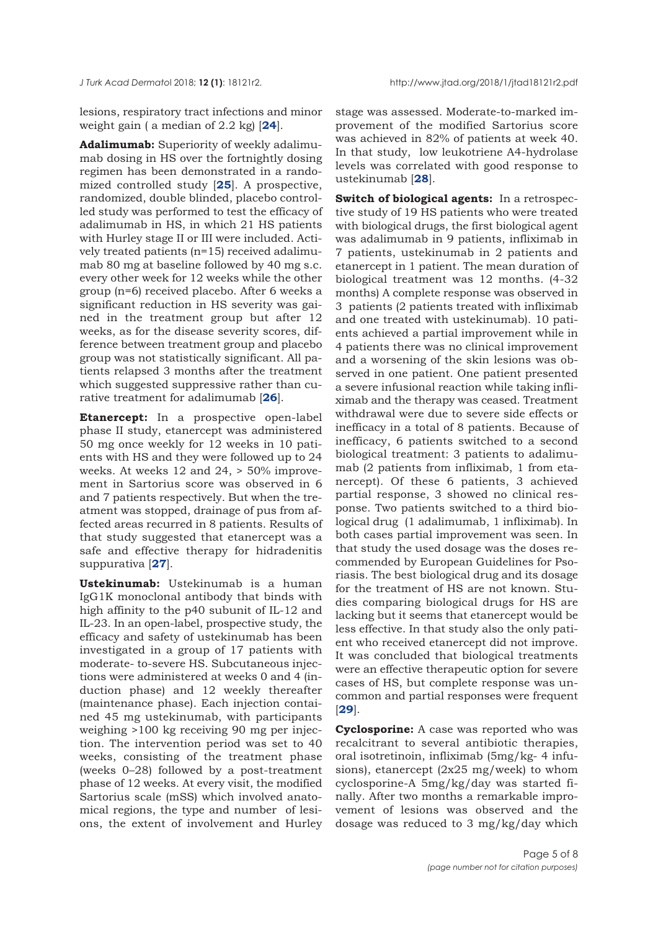lesions, respiratory tract infections and minor weight gain ( a median of 2.2 kg) [**[24](#page-6-0)**].

**Adalimumab:** Superiority of weekly adalimumab dosing in HS over the fortnightly dosing regimen has been demonstrated in a randomized controlled study [**[25](#page-6-0)**]. A prospective, randomized, double blinded, placebo controlled study was performed to test the efficacy of adalimumab in HS, in which 21 HS patients with Hurley stage II or III were included. Actively treated patients (n=15) received adalimumab 80 mg at baseline followed by 40 mg s.c. every other week for 12 weeks while the other group (n=6) received placebo. After 6 weeks a significant reduction in HS severity was gained in the treatment group but after 12 weeks, as for the disease severity scores, difference between treatment group and placebo group was not statistically significant. All patients relapsed 3 months after the treatment which suggested suppressive rather than curative treatment for adalimumab [**[26](#page-6-0)**].

**Etanercept:** In a prospective open-label phase II study, etanercept was administered 50 mg once weekly for 12 weeks in 10 patients with HS and they were followed up to 24 weeks. At weeks 12 and 24, > 50% improvement in Sartorius score was observed in 6 and 7 patients respectively. But when the treatment was stopped, drainage of pus from affected areas recurred in 8 patients. Results of that study suggested that etanercept was a safe and effective therapy for hidradenitis suppurativa [**[27](#page-6-0)**].

**Ustekinumab:** Ustekinumab is a human IgG1K monoclonal antibody that binds with high affinity to the p40 subunit of IL-12 and IL-23. In an open-label, prospective study, the efficacy and safety of ustekinumab has been investigated in a group of 17 patients with moderate- to-severe HS. Subcutaneous injections were administered at weeks 0 and 4 (induction phase) and 12 weekly thereafter (maintenance phase). Each injection contained 45 mg ustekinumab, with participants weighing >100 kg receiving 90 mg per injection. The intervention period was set to 40 weeks, consisting of the treatment phase (weeks 0–28) followed by a post-treatment phase of 12 weeks. At every visit, the modified Sartorius scale (mSS) which involved anatomical regions, the type and number of lesions, the extent of involvement and Hurley

stage was assessed. Moderate-to-marked improvement of the modified Sartorius score was achieved in 82% of patients at week 40. In that study, low leukotriene A4-hydrolase levels was correlated with good response to ustekinumab [**[28](#page-6-0)**].

**Switch of biological agents:** In a retrospective study of 19 HS patients who were treated with biological drugs, the first biological agent was adalimumab in 9 patients, infliximab in 7 patients, ustekinumab in 2 patients and etanercept in 1 patient. The mean duration of biological treatment was 12 months. (4-32 months) A complete response was observed in 3 patients (2 patients treated with infliximab and one treated with ustekinumab). 10 patients achieved a partial improvement while in 4 patients there was no clinical improvement and a worsening of the skin lesions was observed in one patient. One patient presented a severe infusional reaction while taking infliximab and the therapy was ceased. Treatment withdrawal were due to severe side effects or inefficacy in a total of 8 patients. Because of inefficacy, 6 patients switched to a second biological treatment: 3 patients to adalimumab (2 patients from infliximab, 1 from etanercept). Of these 6 patients, 3 achieved partial response, 3 showed no clinical response. Two patients switched to a third biological drug (1 adalimumab, 1 infliximab). In both cases partial improvement was seen. In that study the used dosage was the doses recommended by European Guidelines for Psoriasis. The best biological drug and its dosage for the treatment of HS are not known. Studies comparing biological drugs for HS are lacking but it seems that etanercept would be less effective. In that study also the only patient who received etanercept did not improve. It was concluded that biological treatments were an effective therapeutic option for severe cases of HS, but complete response was uncommon and partial responses were frequent [**[29](#page-6-0)**].

**Cyclosporine:** A case was reported who was recalcitrant to several antibiotic therapies, oral isotretinoin, infliximab (5mg/kg- 4 infusions), etanercept (2x25 mg/week) to whom cyclosporine-A 5mg/kg/day was started finally. After two months a remarkable improvement of lesions was observed and the dosage was reduced to 3 mg/kg/day which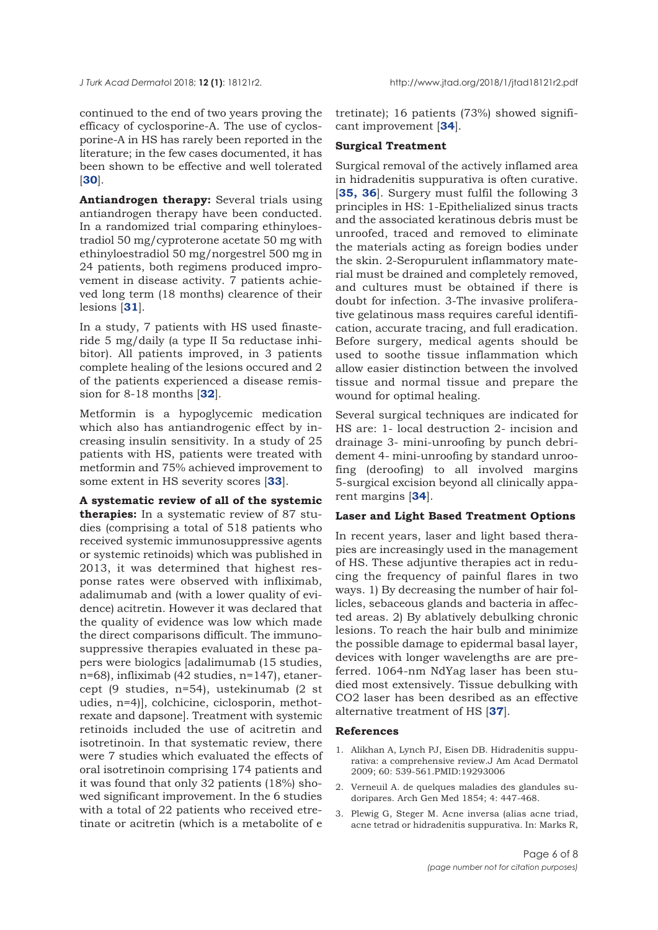<span id="page-5-0"></span>

continued to the end of two years proving the efficacy of cyclosporine-A. The use of cyclosporine-A in HS has rarely been reported in the literature; in the few cases documented, it has been shown to be effective and well tolerated [**[30](#page-6-0)**].

**Antiandrogen therapy:** Several trials using antiandrogen therapy have been conducted. In a randomized trial comparing ethinyloestradiol 50 mg/cyproterone acetate 50 mg with ethinyloestradiol 50 mg/norgestrel 500 mg in 24 patients, both regimens produced improvement in disease activity. 7 patients achieved long term (18 months) clearence of their lesions [**[31](#page-6-0)**].

In a study, 7 patients with HS used finasteride 5 mg/daily (a type II 5α reductase inhibitor). All patients improved, in 3 patients complete healing of the lesions occured and 2 of the patients experienced a disease remission for 8-18 months [**[32](#page-6-0)**].

Metformin is a hypoglycemic medication which also has antiandrogenic effect by increasing insulin sensitivity. In a study of 25 patients with HS, patients were treated with metformin and 75% achieved improvement to some extent in HS severity scores [**[33](#page-6-0)**].

**A systematic review of all of the systemic therapies:** In a systematic review of 87 studies (comprising a total of 518 patients who received systemic immunosuppressive agents or systemic retinoids) which was published in 2013, it was determined that highest response rates were observed with infliximab, adalimumab and (with a lower quality of evidence) acitretin. However it was declared that the quality of evidence was low which made the direct comparisons difficult. The immunosuppressive therapies evaluated in these papers were biologics [adalimumab (15 studies, n=68), infliximab (42 studies, n=147), etanercept (9 studies, n=54), ustekinumab (2 st udies, n=4)], colchicine, ciclosporin, methotrexate and dapsone]. Treatment with systemic retinoids included the use of acitretin and isotretinoin. In that systematic review, there were 7 studies which evaluated the effects of oral isotretinoin comprising 174 patients and it was found that only 32 patients (18%) showed significant improvement. In the 6 studies with a total of 22 patients who received etretinate or acitretin (which is a metabolite of e

tretinate); 16 patients (73%) showed significant improvement [**[34](#page-7-0)**].

#### **Surgical Treatment**

Surgical removal of the actively inflamed area in hidradenitis suppurativa is often curative. [**[35,](#page-7-0) [36](#page-7-0)**]. Surgery must fulfil the following 3 principles in HS: 1-Epithelialized sinus tracts and the associated keratinous debris must be unroofed, traced and removed to eliminate the materials acting as foreign bodies under the skin. 2-Seropurulent inflammatory material must be drained and completely removed, and cultures must be obtained if there is doubt for infection. 3-The invasive proliferative gelatinous mass requires careful identification, accurate tracing, and full eradication. Before surgery, medical agents should be used to soothe tissue inflammation which allow easier distinction between the involved tissue and normal tissue and prepare the wound for optimal healing.

Several surgical techniques are indicated for HS are: 1- local destruction 2- incision and drainage 3- mini-unroofing by punch debridement 4- mini-unroofing by standard unroofing (deroofing) to all involved margins 5-surgical excision beyond all clinically apparent margins [**[34](#page-7-0)**].

## **Laser and Light Based Treatment Options**

In recent years, laser and light based therapies are increasingly used in the management of HS. These adjuntive therapies act in reducing the frequency of painful flares in two ways. 1) By decreasing the number of hair follicles, sebaceous glands and bacteria in affected areas. 2) By ablatively debulking chronic lesions. To reach the hair bulb and minimize the possible damage to epidermal basal layer, devices with longer wavelengths are are preferred. 1064-nm NdYag laser has been studied most extensively. Tissue debulking with CO2 laser has been desribed as an effective alternative treatment of HS [**[37](#page-7-0)**].

#### **References**

- 1. Alikhan A, Lynch PJ, Eisen DB. Hidradenitis suppurativa: a comprehensive review.J Am Acad Dermatol 2009; 60: 539-561.PMID:19293006
- 2. Verneuil A. de quelques maladies des glandules sudoripares. Arch Gen Med 1854; 4: 447-468.
- 3. Plewig G, Steger M. Acne inversa (alias acne triad, acne tetrad or hidradenitis suppurativa. In: Marks R,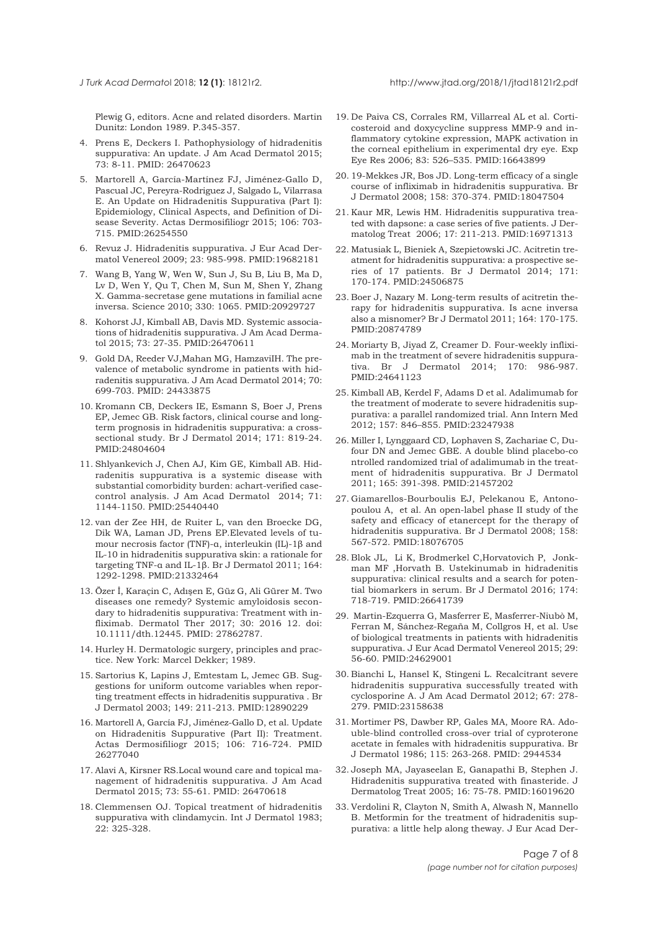<span id="page-6-0"></span>

Plewig G, editors. Acne and related disorders. Martin Dunitz: London 1989. P.345-357.

- 4. Prens E, Deckers I. Pathophysiology of hidradenitis suppurativa: An update. J Am Acad Dermatol 2015; 73: 8-11. PMID: 26470623
- 5. Martorell A, García-Martínez FJ, Jiménez-Gallo D, Pascual JC, Pereyra-Rodriguez J, Salgado L, Vilarrasa E. An Update on Hidradenitis Suppurativa (Part I): Epidemiology, Clinical Aspects, and Definition of Disease Severity. Actas Dermosifiliogr 2015; 106: 703- 715. PMID:26254550
- 6. Revuz J. Hidradenitis suppurativa. J Eur Acad Dermatol Venereol 2009; 23: 985-998. PMID:19682181
- 7. Wang B, Yang W, Wen W, Sun J, Su B, Liu B, Ma D, Lv D, Wen Y, Qu T, Chen M, Sun M, Shen Y, Zhang X. Gamma-secretase gene mutations in familial acne inversa. Science 2010; 330: 1065. PMID:20929727
- 8. Kohorst JJ, Kimball AB, Davis MD. Systemic associations of hidradenitis suppurativa. J Am Acad Dermatol 2015; 73: 27-35. PMID:26470611
- 9. Gold DA, Reeder VJ,Mahan MG, HamzaviIH. The prevalence of metabolic syndrome in patients with hidradenitis suppurativa. J Am Acad Dermatol 2014; 70: 699-703. PMID: 24433875
- 10. Kromann CB, Deckers IE, Esmann S, Boer J, Prens EP, Jemec GB. Risk factors, clinical course and longterm prognosis in hidradenitis suppurativa: a crosssectional study. Br J Dermatol 2014; 171: 819-24. PMID:24804604
- 11. Shlyankevich J, Chen AJ, Kim GE, Kimball AB. Hidradenitis suppurativa is a systemic disease with substantial comorbidity burden: achart-verified casecontrol analysis. J Am Acad Dermatol 2014; 71: 1144-1150. PMID:25440440
- 12. van der Zee HH, de Ruiter L, van den Broecke DG, Dik WA, Laman JD, Prens EP.Elevated levels of tumour necrosis factor (TNF)-α, interleukin (IL)-1β and IL-10 in hidradenitis suppurativa skin: a rationale for targeting TNF-α and IL-1β. Br J Dermatol 2011; 164: 1292-1298. PMID:21332464
- 13. Özer İ, Karaçin C, Adışen E, Güz G, Ali Gürer M. Two diseases one remedy? Systemic amyloidosis secondary to hidradenitis suppurativa: Treatment with infliximab. Dermatol Ther 2017; 30: 2016 12. doi: 10.1111/dth.12445. PMID: 27862787.
- 14. Hurley H. Dermatologic surgery, principles and practice. New York: Marcel Dekker; 1989.
- 15. Sartorius K, Lapins J, Emtestam L, Jemec GB. Suggestions for uniform outcome variables when reporting treatment effects in hidradenitis suppurativa . Br J Dermatol 2003; 149: 211-213. PMID:12890229
- 16. Martorell A, García FJ, Jiménez-Gallo D, et al. Update on Hidradenitis Suppurative (Part II): Treatment. Actas Dermosifiliogr 2015; 106: 716-724. PMID 26277040
- 17. Alavi A, Kirsner RS.Local wound care and topical management of hidradenitis suppurativa. J Am Acad Dermatol 2015; 73: 55-61. PMID: 26470618
- 18. Clemmensen OJ. Topical treatment of hidradenitis suppurativa with clindamycin. Int J Dermatol 1983; 22: 325-328.
- 19. De Paiva CS, Corrales RM, Villarreal AL et al. Corticosteroid and doxycycline suppress MMP-9 and inflammatory cytokine expression, MAPK activation in the corneal epithelium in experimental dry eye. Exp Eye Res 2006; 83: 526–535. PMID:16643899
- 20. 19-Mekkes JR, Bos JD. Long-term efficacy of a single course of infliximab in hidradenitis suppurativa. Br J Dermatol 2008; 158: 370-374. PMID:18047504
- 21. Kaur MR, Lewis HM. Hidradenitis suppurativa treated with dapsone: a case series of five patients. J Dermatolog Treat 2006; 17: 211-213. PMID:16971313
- 22. Matusiak L, Bieniek A, Szepietowski JC. Acitretin treatment for hidradenitis suppurativa: a prospective series of 17 patients. Br J Dermatol 2014; 171: 170-174. PMID:24506875
- 23. Boer J, Nazary M. Long-term results of acitretin therapy for hidradenitis suppurativa. Is acne inversa also a misnomer? Br J Dermatol 2011; 164: 170-175. PMID:20874789
- 24. Moriarty B, Jiyad Z, Creamer D. Four-weekly infliximab in the treatment of severe hidradenitis suppurativa. Br J Dermatol 2014; 170: 986-987. PMID:24641123
- 25. Kimball AB, Kerdel F, Adams D et al. Adalimumab for the treatment of moderate to severe hidradenitis suppurativa: a parallel randomized trial. Ann Intern Med 2012; 157: 846–855. PMID:23247938
- 26. Miller I, Lynggaard CD, Lophaven S, Zachariae C, Dufour DN and Jemec GBE. A double blind placebo-co ntrolled randomized trial of adalimumab in the treatment of hidradenitis suppurativa. Br J Dermatol 2011; 165: 391-398. PMID:21457202
- 27. Giamarellos-Bourboulis EJ, Pelekanou E, Antonopoulou A, et al. An open-label phase II study of the safety and efficacy of etanercept for the therapy of hidradenitis suppurativa. Br J Dermatol 2008; 158: 567-572. PMID:18076705
- 28. Blok JL, Li K, Brodmerkel C,Horvatovich P, Jonkman MF ,Horvath B. Ustekinumab in hidradenitis suppurativa: clinical results and a search for potential biomarkers in serum. Br J Dermatol 2016; 174: 718-719. PMID:26641739
- 29. Martin-Ezquerra G, Masferrer E, Masferrer-Niubò M, Ferran M, Sánchez-Regaña M, Collgros H, et al. Use of biological treatments in patients with hidradenitis suppurativa. J Eur Acad Dermatol Venereol 2015; 29: 56-60. PMID:24629001
- 30. Bianchi L, Hansel K, Stingeni L. Recalcitrant severe hidradenitis suppurativa successfully treated with cyclosporine A. J Am Acad Dermatol 2012; 67: 278- 279. PMID:23158638
- 31. Mortimer PS, Dawber RP, Gales MA, Moore RA. Adouble-blind controlled cross-over trial of cyproterone acetate in females with hidradenitis suppurativa. Br J Dermatol 1986; 115: 263-268. PMID: 2944534
- 32. Joseph MA, Jayaseelan E, Ganapathi B, Stephen J. Hidradenitis suppurativa treated with finasteride. J Dermatolog Treat 2005; 16: 75-78. PMID:16019620
- 33. Verdolini R, Clayton N, Smith A, Alwash N, Mannello B. Metformin for the treatment of hidradenitis suppurativa: a little help along theway. J Eur Acad Der-